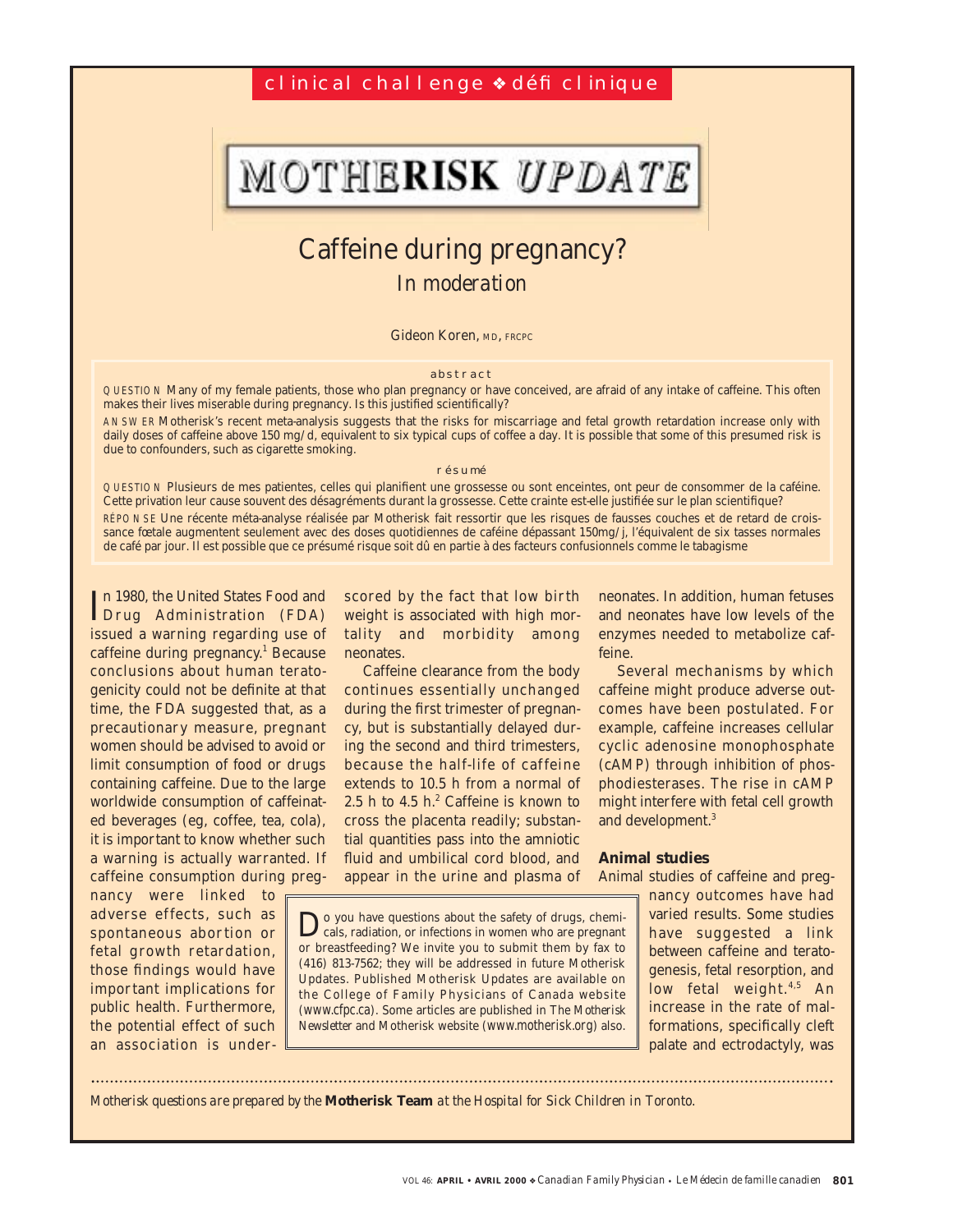## cl inical challenge <sup>↓</sup> défi clinique

# MOTHERISK UPDATE

## Caffeine during pregnancy? *In moderation*

Gideon Koren, MD, FRCPC

#### abstract

QUESTION Many of my female patients, those who plan pregnancy or have conceived, are afraid of any intake of caffeine. This often makes their lives miserable during pregnancy. Is this justified scientifically?

ANSWER Motherisk's recent meta-analysis suggests that the risks for miscarriage and fetal growth retardation increase only with daily doses of caffeine above 150 mg/d, equivalent to six typical cups of coffee a day. It is possible that some of this presumed risk is due to confounders, such as cigarette smoking.

#### résumé

QUESTION Plusieurs de mes patientes, celles qui planifient une grossesse ou sont enceintes, ont peur de consommer de la caféine. Cette privation leur cause souvent des désagréments durant la grossesse. Cette crainte est-elle justifiée sur le plan scientifique? RÉPONSE Une récente méta-analyse réalisée par Motherisk fait ressortir que les risques de fausses couches et de retard de croissance fœtale augmentent seulement avec des doses quotidiennes de caféine dépassant 150mg/j, l'équivalent de six tasses normales de café par jour. Il est possible que ce présumé risque soit dû en partie à des facteurs confusionnels comme le tabagisme

In 1980, the United States Food and<br>IDrug Administration (FDA) n 1980, the United States Food and issued a warning regarding use of caffeine during pregnancy.<sup>1</sup> Because conclusions about human teratogenicity could not be definite at that time, the FDA suggested that, as a precautionary measure, pregnant women should be advised to avoid or limit consumption of food or drugs containing caffeine. Due to the large worldwide consumption of caffeinated beverages (eg, coffee, tea, cola), it is important to know whether such a warning is actually warranted. If caffeine consumption during preg-

nancy were linked to adverse effects, such as spontaneous abortion or fetal growth retardation, those findings would have important implications for public health. Furthermore, the potential effect of such an association is underscored by the fact that low birth weight is associated with high mortality and morbidity among neonates.

Caffeine clearance from the body continues essentially unchanged during the first trimester of pregnancy, but is substantially delayed during the second and third trimesters, because the half-life of caffeine extends to 10.5 h from a normal of 2.5 h to 4.5  $h^2$  Caffeine is known to cross the placenta readily; substantial quantities pass into the amniotic fluid and umbilical cord blood, and appear in the urine and plasma of neonates. In addition, human fetuses and neonates have low levels of the enzymes needed to metabolize caffeine.

Several mechanisms by which caffeine might produce adverse outcomes have been postulated. For example, caffeine increases cellular cyclic adenosine monophosphate (cAMP) through inhibition of phosphodiesterases. The rise in cAMP might interfere with fetal cell growth and development.<sup>3</sup>

## **Animal studies**

Animal studies of caffeine and preg-

Do you have questions about the safety of drugs, chemi-cals, radiation, or infections in women who are pregnant or breastfeeding? We invite you to submit them by fax to (416) 813-7562; they will be addressed in future Motherisk Updates. Published Motherisk Updates are available on the College of Family Physicians of Canada website (www.cfpc.ca). Some articles are published in *The Motherisk Newsletter* and Motherisk website (www.motherisk.org) also.

nancy outcomes have had varied results. Some studies have suggested a link between caffeine and teratogenesis, fetal resorption, and low fetal weight. $4,5$  An increase in the rate of malformations, specifically cleft palate and ectrodactyly, was

*Motherisk questions are prepared by the* **Motherisk Team** *at the Hospital for Sick Children in Toronto.*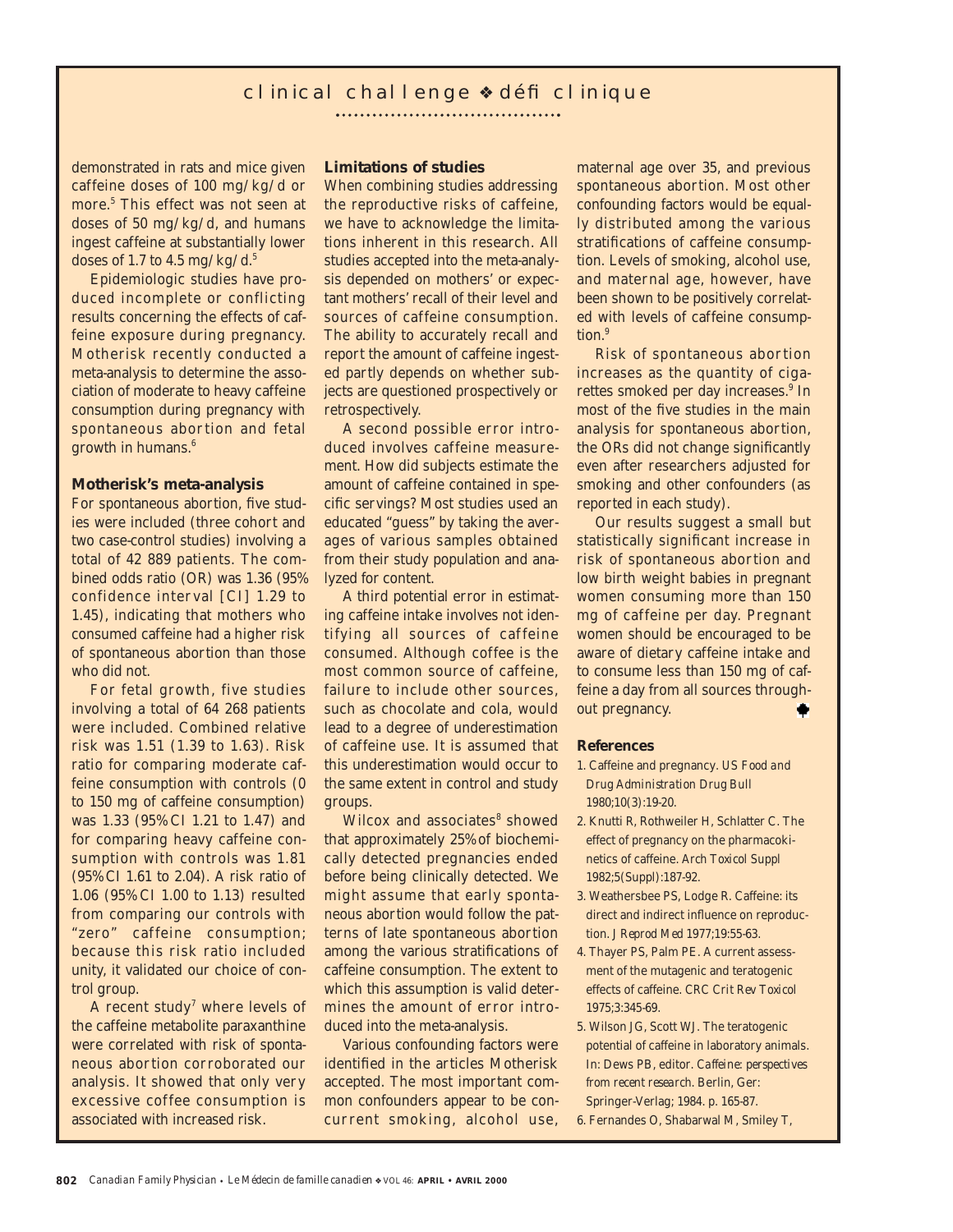## cl inical chal l enge • défi cl inique

demonstrated in rats and mice given caffeine doses of 100 mg/kg/d or more.5 This effect was not seen at doses of 50 mg/kg/d, and humans ingest caffeine at substantially lower doses of 1.7 to 4.5 mg/kg/d. $5$ 

Epidemiologic studies have produced incomplete or conflicting results concerning the effects of caffeine exposure during pregnancy. Motherisk recently conducted a meta-analysis to determine the association of moderate to heavy caffeine consumption during pregnancy with spontaneous abortion and fetal growth in humans.6

### **Motherisk's meta-analysis**

For spontaneous abortion, five studies were included (three cohort and two case-control studies) involving a total of 42 889 patients. The combined odds ratio (OR) was 1.36 (95% confidence interval [CI] 1.29 to 1.45), indicating that mothers who consumed caffeine had a higher risk of spontaneous abortion than those who did not.

For fetal growth, five studies involving a total of 64 268 patients were included. Combined relative risk was 1.51 (1.39 to 1.63). Risk ratio for comparing moderate caffeine consumption with controls (0 to 150 mg of caffeine consumption) was 1.33 (95% CI 1.21 to 1.47) and for comparing heavy caffeine consumption with controls was 1.81 (95% CI 1.61 to 2.04). A risk ratio of 1.06 (95% CI 1.00 to 1.13) resulted from comparing our controls with "zero" caffeine consumption; because this risk ratio included unity, it validated our choice of control group.

A recent study<sup>7</sup> where levels of the caffeine metabolite paraxanthine were correlated with risk of spontaneous abortion corroborated our analysis. It showed that only very excessive coffee consumption is associated with increased risk.

## **Limitations of studies**

When combining studies addressing the reproductive risks of caffeine, we have to acknowledge the limitations inherent in this research. All studies accepted into the meta-analysis depended on mothers' or expectant mothers' recall of their level and sources of caffeine consumption. The ability to accurately recall and report the amount of caffeine ingested partly depends on whether subjects are questioned prospectively or retrospectively.

A second possible error introduced involves caffeine measurement. How did subjects estimate the amount of caffeine contained in specific servings? Most studies used an educated "guess" by taking the averages of various samples obtained from their study population and analyzed for content.

A third potential error in estimating caffeine intake involves not identifying all sources of caffeine consumed. Although coffee is the most common source of caffeine, failure to include other sources, such as chocolate and cola, would lead to a degree of underestimation of caffeine use. It is assumed that this underestimation would occur to the same extent in control and study groups.

Wilcox and associates<sup>8</sup> showed that approximately 25% of biochemically detected pregnancies ended before being clinically detected. We might assume that early spontaneous abortion would follow the patterns of late spontaneous abortion among the various stratifications of caffeine consumption. The extent to which this assumption is valid determines the amount of error introduced into the meta-analysis.

Various confounding factors were identified in the articles Motherisk accepted. The most important common confounders appear to be concurrent smoking, alcohol use,

maternal age over 35, and previous spontaneous abortion. Most other confounding factors would be equally distributed among the various stratifications of caffeine consumption. Levels of smoking, alcohol use, and maternal age, however, have been shown to be positively correlated with levels of caffeine consumption.<sup>9</sup>

Risk of spontaneous abortion increases as the quantity of cigarettes smoked per day increases.<sup>9</sup> In most of the five studies in the main analysis for spontaneous abortion, the ORs did not change significantly even after researchers adjusted for smoking and other confounders (as reported in each study).

Our results suggest a small but statistically significant increase in risk of spontaneous abortion and low birth weight babies in pregnant women consuming more than 150 mg of caffeine per day. Pregnant women should be encouraged to be aware of dietary caffeine intake and to consume less than 150 mg of caffeine a day from all sources throughout pregnancy.

#### **References**

- 1. Caffeine and pregnancy. *US Food and Drug Administration Drug Bull* 1980;10(3):19-20.
- 2. Knutti R, Rothweiler H, Schlatter C. The effect of pregnancy on the pharmacokinetics of caffeine. *Arch Toxicol Suppl* 1982;5(Suppl):187-92.
- 3. Weathersbee PS, Lodge R. Caffeine: its direct and indirect influence on reproduction. *J Reprod Med* 1977;19:55-63.
- 4. Thayer PS, Palm PE. A current assessment of the mutagenic and teratogenic effects of caffeine. *CRC Crit Rev Toxicol* 1975;3:345-69.
- 5. Wilson JG, Scott WJ. The teratogenic potential of caffeine in laboratory animals. In: Dews PB, editor. *Caffeine: perspectives from recent research*. Berlin, Ger: Springer-Verlag; 1984. p. 165-87.
- 6. Fernandes O, Shabarwal M, Smiley T,